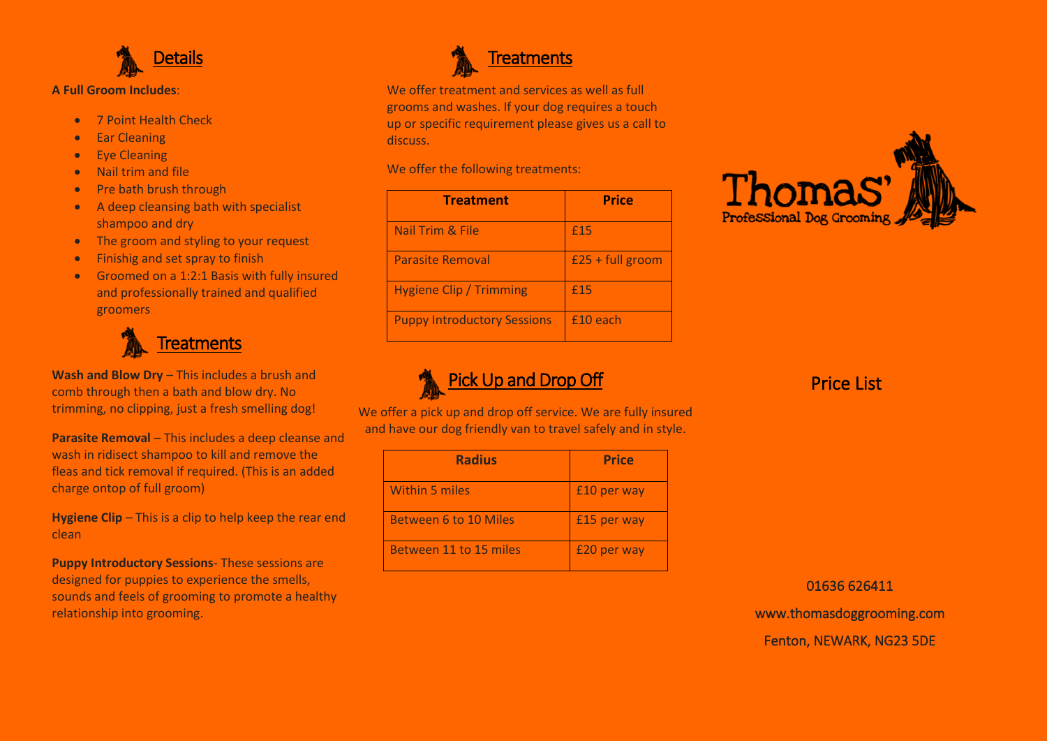

## **A Full Groom Includes**:

- 7 Point Health Check
- Ear Cleaning
- Eye Cleaning
- Nail trim and file
- Pre bath brush through
- A deep cleansing bath with specialist shampoo and dry
- The groom and styling to your request
- Finishig and set spray to finish
- Groomed on a 1:2:1 Basis with fully insured and professionally trained and qualified groomers



**Wash and Blow Dry** – This includes a brush and comb through then a bath and blow dry. No trimming, no clipping, just a fresh smelling dog!

**Parasite Removal** – This includes a deep cleanse and wash in ridisect shampoo to kill and remove the fleas and tick removal if required. (This is an added charge ontop of full groom)

**Hygiene Clip** – This is a clip to help keep the rear end clean

**Puppy Introductory Sessions**- These sessions are designed for puppies to experience the smells, sounds and feels of grooming to promote a healthy relationship into grooming.



We offer treatment and services as well as full grooms and washes. If your dog requires a touch up or specific requirement please gives us a call to discuss.

We offer the following treatments:

| <b>Treatment</b>                   | <b>Price</b>         |
|------------------------------------|----------------------|
| Nail Trim & File                   | £15                  |
| <b>Parasite Removal</b>            | $£25 + full$ groom   |
| <b>Hygiene Clip / Trimming</b>     | £15                  |
| <b>Puppy Introductory Sessions</b> | f <sub>10</sub> each |



Pick Up and Drop Off

We offer a pick up and drop off service. We are fully insured and have our dog friendly van to travel safely and in style.

| <b>Radius</b>                | <b>Price</b> |
|------------------------------|--------------|
| <b>Within 5 miles</b>        | £10 per way  |
| <b>Between 6 to 10 Miles</b> | £15 per way  |
| Between 11 to 15 miles       | £20 per way  |

Price List

01636 626411 www.thomasdoggrooming.com Fenton, NEWARK, NG23 5DE